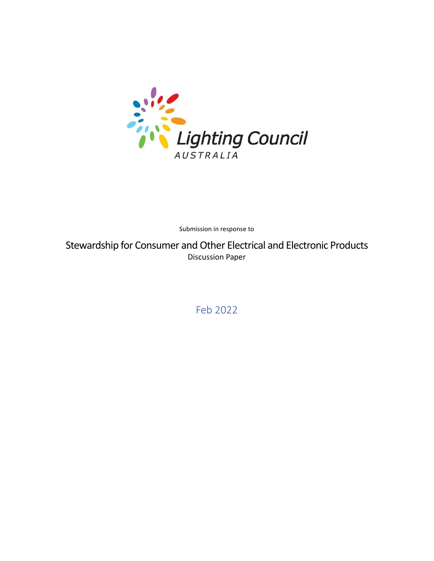

Submission in response to

Stewardship for Consumer and Other Electrical and Electronic Products Discussion Paper

Feb 2022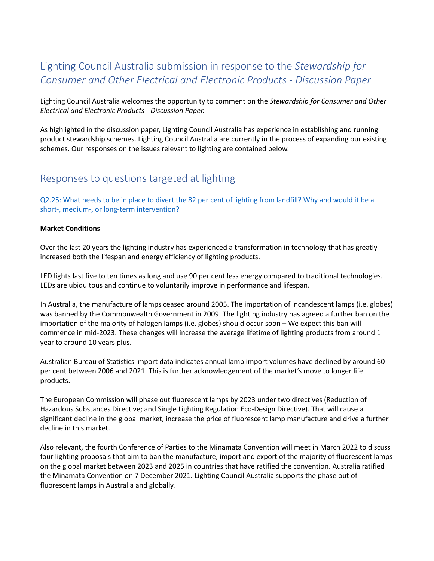# Lighting Council Australia submission in response to the *Stewardship for Consumer and Other Electrical and Electronic Products - Discussion Paper*

Lighting Council Australia welcomes the opportunity to comment on the *Stewardship for Consumer and Other Electrical and Electronic Products - Discussion Paper.*

As highlighted in the discussion paper, Lighting Council Australia has experience in establishing and running product stewardship schemes. Lighting Council Australia are currently in the process of expanding our existing schemes. Our responses on the issues relevant to lighting are contained below.

### Responses to questions targeted at lighting

Q2.25: What needs to be in place to divert the 82 per cent of lighting from landfill? Why and would it be a short-, medium-, or long-term intervention?

#### **Market Conditions**

Over the last 20 years the lighting industry has experienced a transformation in technology that has greatly increased both the lifespan and energy efficiency of lighting products.

LED lights last five to ten times as long and use 90 per cent less energy compared to traditional technologies. LEDs are ubiquitous and continue to voluntarily improve in performance and lifespan.

In Australia, the manufacture of lamps ceased around 2005. The importation of incandescent lamps (i.e. globes) was banned by the Commonwealth Government in 2009. The lighting industry has agreed a further ban on the importation of the majority of halogen lamps (i.e. globes) should occur soon – We expect this ban will commence in mid-2023. These changes will increase the average lifetime of lighting products from around 1 year to around 10 years plus.

Australian Bureau of Statistics import data indicates annual lamp import volumes have declined by around 60 per cent between 2006 and 2021. This is further acknowledgement of the market's move to longer life products.

The European Commission will phase out fluorescent lamps by 2023 under two directives (Reduction of Hazardous Substances Directive; and Single Lighting Regulation Eco-Design Directive). That will cause a significant decline in the global market, increase the price of fluorescent lamp manufacture and drive a further decline in this market.

Also relevant, the fourth Conference of Parties to the Minamata Convention will meet in March 2022 to discuss four lighting proposals that aim to ban the manufacture, import and export of the majority of fluorescent lamps on the global market between 2023 and 2025 in countries that have ratified the convention. Australia ratified the Minamata Convention on 7 December 2021. Lighting Council Australia supports the phase out of fluorescent lamps in Australia and globally.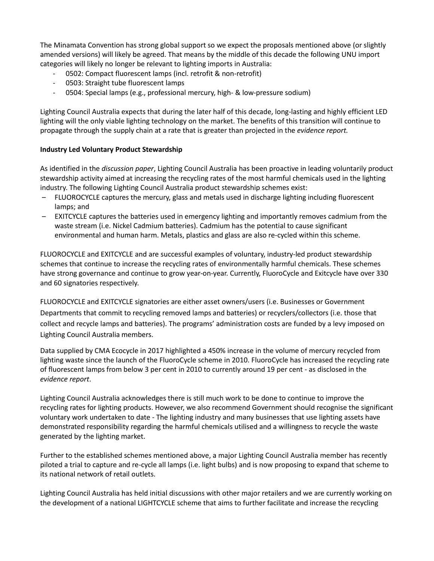The Minamata Convention has strong global support so we expect the proposals mentioned above (or slightly amended versions) will likely be agreed. That means by the middle of this decade the following UNU import categories will likely no longer be relevant to lighting imports in Australia:

- 0502: Compact fluorescent lamps (incl. retrofit & non-retrofit)
- 0503: Straight tube fluorescent lamps
- 0504: Special lamps (e.g., professional mercury, high- & low-pressure sodium)

Lighting Council Australia expects that during the later half of this decade, long-lasting and highly efficient LED lighting will the only viable lighting technology on the market. The benefits of this transition will continue to propagate through the supply chain at a rate that is greater than projected in the *evidence report.*

#### **Industry Led Voluntary Product Stewardship**

As identified in the *discussion paper*, Lighting Council Australia has been proactive in leading voluntarily product stewardship activity aimed at increasing the recycling rates of the most harmful chemicals used in the lighting industry. The following Lighting Council Australia product stewardship schemes exist:

- FLUOROCYCLE captures the mercury, glass and metals used in discharge lighting including fluorescent lamps; and
- EXITCYCLE captures the batteries used in emergency lighting and importantly removes cadmium from the waste stream (i.e. Nickel Cadmium batteries). Cadmium has the potential to cause significant environmental and human harm. Metals, plastics and glass are also re-cycled within this scheme.

FLUOROCYCLE and EXITCYCLE and are successful examples of voluntary, industry-led product stewardship schemes that continue to increase the recycling rates of environmentally harmful chemicals. These schemes have strong governance and continue to grow year-on-year. Currently, FluoroCycle and Exitcycle have over 330 and 60 signatories respectively.

FLUOROCYCLE and EXITCYCLE signatories are either asset owners/users (i.e. Businesses or Government Departments that commit to recycling removed lamps and batteries) or recyclers/collectors (i.e. those that collect and recycle lamps and batteries). The programs' administration costs are funded by a levy imposed on Lighting Council Australia members.

Data supplied by CMA Ecocycle in 2017 highlighted a 450% increase in the volume of mercury recycled from lighting waste since the launch of the FluoroCycle scheme in 2010. FluoroCycle has increased the recycling rate of fluorescent lamps from below 3 per cent in 2010 to currently around 19 per cent - as disclosed in the *evidence report*.

Lighting Council Australia acknowledges there is still much work to be done to continue to improve the recycling rates for lighting products. However, we also recommend Government should recognise the significant voluntary work undertaken to date - The lighting industry and many businesses that use lighting assets have demonstrated responsibility regarding the harmful chemicals utilised and a willingness to recycle the waste generated by the lighting market.

Further to the established schemes mentioned above, a major Lighting Council Australia member has recently piloted a trial to capture and re-cycle all lamps (i.e. light bulbs) and is now proposing to expand that scheme to its national network of retail outlets.

Lighting Council Australia has held initial discussions with other major retailers and we are currently working on the development of a national LIGHTCYCLE scheme that aims to further facilitate and increase the recycling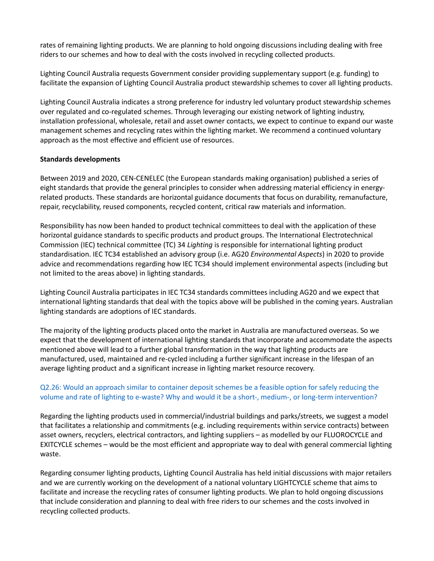rates of remaining lighting products. We are planning to hold ongoing discussions including dealing with free riders to our schemes and how to deal with the costs involved in recycling collected products.

Lighting Council Australia requests Government consider providing supplementary support (e.g. funding) to facilitate the expansion of Lighting Council Australia product stewardship schemes to cover all lighting products.

Lighting Council Australia indicates a strong preference for industry led voluntary product stewardship schemes over regulated and co-regulated schemes. Through leveraging our existing network of lighting industry, installation professional, wholesale, retail and asset owner contacts, we expect to continue to expand our waste management schemes and recycling rates within the lighting market. We recommend a continued voluntary approach as the most effective and efficient use of resources.

#### **Standards developments**

Between 2019 and 2020, CEN-CENELEC (the European standards making organisation) published a series of eight standards that provide the general principles to consider when addressing material efficiency in energyrelated products. These standards are horizontal guidance documents that focus on durability, remanufacture, repair, recyclability, reused components, recycled content, critical raw materials and information.

Responsibility has now been handed to product technical committees to deal with the application of these horizontal guidance standards to specific products and product groups. The International Electrotechnical Commission (IEC) technical committee (TC) 34 *Lighting* is responsible for international lighting product standardisation. IEC TC34 established an advisory group (i.e. AG20 *Environmental Aspects*) in 2020 to provide advice and recommendations regarding how IEC TC34 should implement environmental aspects (including but not limited to the areas above) in lighting standards.

Lighting Council Australia participates in IEC TC34 standards committees including AG20 and we expect that international lighting standards that deal with the topics above will be published in the coming years. Australian lighting standards are adoptions of IEC standards.

The majority of the lighting products placed onto the market in Australia are manufactured overseas. So we expect that the development of international lighting standards that incorporate and accommodate the aspects mentioned above will lead to a further global transformation in the way that lighting products are manufactured, used, maintained and re-cycled including a further significant increase in the lifespan of an average lighting product and a significant increase in lighting market resource recovery.

#### Q2.26: Would an approach similar to container deposit schemes be a feasible option for safely reducing the volume and rate of lighting to e-waste? Why and would it be a short-, medium-, or long-term intervention?

Regarding the lighting products used in commercial/industrial buildings and parks/streets, we suggest a model that facilitates a relationship and commitments (e.g. including requirements within service contracts) between asset owners, recyclers, electrical contractors, and lighting suppliers – as modelled by our FLUOROCYCLE and EXITCYCLE schemes – would be the most efficient and appropriate way to deal with general commercial lighting waste.

Regarding consumer lighting products, Lighting Council Australia has held initial discussions with major retailers and we are currently working on the development of a national voluntary LIGHTCYCLE scheme that aims to facilitate and increase the recycling rates of consumer lighting products. We plan to hold ongoing discussions that include consideration and planning to deal with free riders to our schemes and the costs involved in recycling collected products.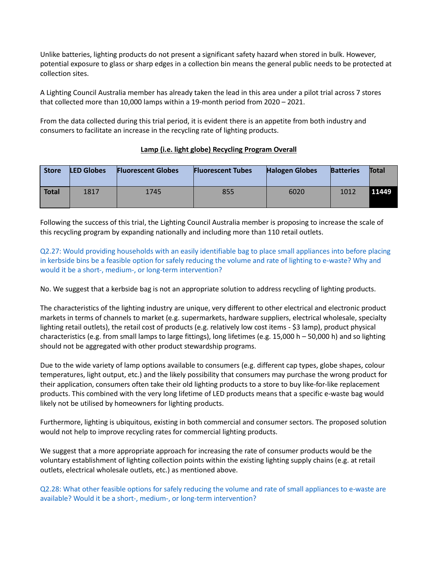Unlike batteries, lighting products do not present a significant safety hazard when stored in bulk. However, potential exposure to glass or sharp edges in a collection bin means the general public needs to be protected at collection sites.

A Lighting Council Australia member has already taken the lead in this area under a pilot trial across 7 stores that collected more than 10,000 lamps within a 19-month period from 2020 – 2021.

From the data collected during this trial period, it is evident there is an appetite from both industry and consumers to facilitate an increase in the recycling rate of lighting products.

#### **Lamp (i.e. light globe) Recycling Program Overall**

| <b>Store</b> | <b>LED Globes</b> | <b>Fluorescent Globes</b> | <b>Fluorescent Tubes</b> | <b>Halogen Globes</b> | <b>Batteries</b> | <b>Total</b> |
|--------------|-------------------|---------------------------|--------------------------|-----------------------|------------------|--------------|
| Total        | 1817              | 1745                      | 855                      | 6020                  | 1012             | 11449        |

Following the success of this trial, the Lighting Council Australia member is proposing to increase the scale of this recycling program by expanding nationally and including more than 110 retail outlets.

Q2.27: Would providing households with an easily identifiable bag to place small appliances into before placing in kerbside bins be a feasible option for safely reducing the volume and rate of lighting to e-waste? Why and would it be a short-, medium-, or long-term intervention?

No. We suggest that a kerbside bag is not an appropriate solution to address recycling of lighting products.

The characteristics of the lighting industry are unique, very different to other electrical and electronic product markets in terms of channels to market (e.g. supermarkets, hardware suppliers, electrical wholesale, specialty lighting retail outlets), the retail cost of products (e.g. relatively low cost items - \$3 lamp), product physical characteristics (e.g. from small lamps to large fittings), long lifetimes (e.g. 15,000 h – 50,000 h) and so lighting should not be aggregated with other product stewardship programs.

Due to the wide variety of lamp options available to consumers (e.g. different cap types, globe shapes, colour temperatures, light output, etc.) and the likely possibility that consumers may purchase the wrong product for their application, consumers often take their old lighting products to a store to buy like-for-like replacement products. This combined with the very long lifetime of LED products means that a specific e-waste bag would likely not be utilised by homeowners for lighting products.

Furthermore, lighting is ubiquitous, existing in both commercial and consumer sectors. The proposed solution would not help to improve recycling rates for commercial lighting products.

We suggest that a more appropriate approach for increasing the rate of consumer products would be the voluntary establishment of lighting collection points within the existing lighting supply chains (e.g. at retail outlets, electrical wholesale outlets, etc.) as mentioned above.

Q2.28: What other feasible options for safely reducing the volume and rate of small appliances to e-waste are available? Would it be a short-, medium-, or long-term intervention?